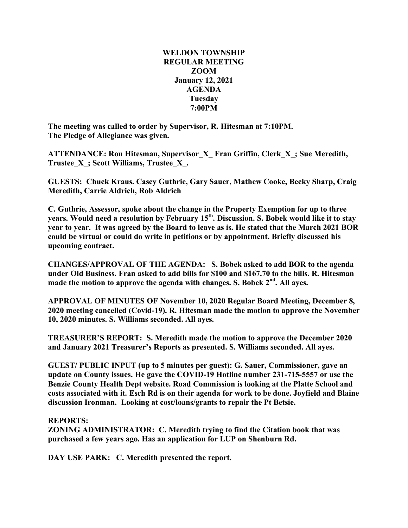## **WELDON TOWNSHIP REGULAR MEETING ZOOM January 12, 2021 AGENDA Tuesday 7:00PM**

**The meeting was called to order by Supervisor, R. Hitesman at 7:10PM. The Pledge of Allegiance was given.**

**ATTENDANCE: Ron Hitesman, Supervisor\_X\_ Fran Griffin, Clerk\_X\_; Sue Meredith, Trustee\_X\_; Scott Williams, Trustee\_X\_.**

**GUESTS: Chuck Kraus. Casey Guthrie, Gary Sauer, Mathew Cooke, Becky Sharp, Craig Meredith, Carrie Aldrich, Rob Aldrich**

**C. Guthrie, Assessor, spoke about the change in the Property Exemption for up to three years. Would need a resolution by February 15th . Discussion. S. Bobek would like it to stay year to year. It was agreed by the Board to leave as is. He stated that the March 2021 BOR could be virtual or could do write in petitions or by appointment. Briefly discussed his upcoming contract.**

**CHANGES/APPROVAL OF THE AGENDA: S. Bobek asked to add BOR to the agenda under Old Business. Fran asked to add bills for \$100 and \$167.70 to the bills. R. Hitesman made the motion to approve the agenda with changes. S. Bobek 2nd . All ayes.**

**APPROVAL OF MINUTES OF November 10, 2020 Regular Board Meeting, December 8, 2020 meeting cancelled (Covid-19). R. Hitesman made the motion to approve the November 10, 2020 minutes. S. Williams seconded. All ayes.**

**TREASURER'S REPORT: S. Meredith made the motion to approve the December 2020 and January 2021 Treasurer's Reports as presented. S. Williams seconded. All ayes.**

**GUEST/ PUBLIC INPUT (up to 5 minutes per guest): G. Sauer, Commissioner, gave an update on County issues. He gave the COVID-19 Hotline number 231-715-5557 or use the Benzie County Health Dept website. Road Commission is looking at the Platte School and costs associated with it. Esch Rd is on their agenda for work to be done. Joyfield and Blaine discussion Ironman. Looking at cost/loans/grants to repair the Pt Betsie.**

## **REPORTS:**

**ZONING ADMINISTRATOR: C. Meredith trying to find the Citation book that was purchased a few years ago. Has an application for LUP on Shenburn Rd.**

**DAY USE PARK: C. Meredith presented the report.**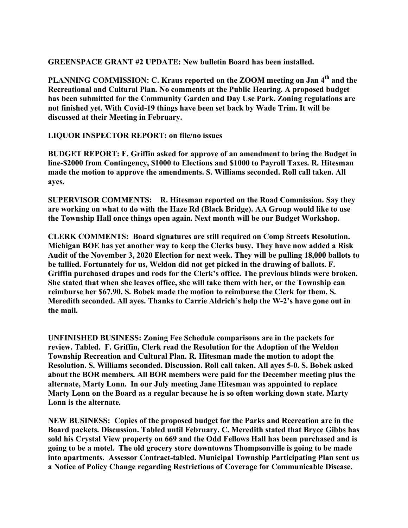**GREENSPACE GRANT #2 UPDATE: New bulletin Board has been installed.**

**PLANNING COMMISSION: C. Kraus reported on the ZOOM meeting on Jan 4th and the Recreational and Cultural Plan. No comments at the Public Hearing. A proposed budget has been submitted for the Community Garden and Day Use Park. Zoning regulations are not finished yet. With Covid-19 things have been set back by Wade Trim. It will be discussed at their Meeting in February.**

**LIQUOR INSPECTOR REPORT: on file/no issues**

**BUDGET REPORT: F. Griffin asked for approve of an amendment to bring the Budget in line-\$2000 from Contingency, \$1000 to Elections and \$1000 to Payroll Taxes. R. Hitesman made the motion to approve the amendments. S. Williams seconded. Roll call taken. All ayes.**

**SUPERVISOR COMMENTS: R. Hitesman reported on the Road Commission. Say they are working on what to do with the Haze Rd (Black Bridge). AA Group would like to use the Township Hall once things open again. Next month will be our Budget Workshop.**

**CLERK COMMENTS: Board signatures are still required on Comp Streets Resolution. Michigan BOE has yet another way to keep the Clerks busy. They have now added a Risk Audit of the November 3, 2020 Election for next week. They will be pulling 18,000 ballots to be tallied. Fortunately for us, Weldon did not get picked in the drawing of ballots. F. Griffin purchased drapes and rods for the Clerk's office. The previous blinds were broken. She stated that when she leaves office, she will take them with her, or the Township can reimburse her \$67.90. S. Bobek made the motion to reimburse the Clerk for them. S. Meredith seconded. All ayes. Thanks to Carrie Aldrich's help the W-2's have gone out in the mail.**

**UNFINISHED BUSINESS: Zoning Fee Schedule comparisons are in the packets for review. Tabled. F. Griffin, Clerk read the Resolution for the Adoption of the Weldon Township Recreation and Cultural Plan. R. Hitesman made the motion to adopt the Resolution. S. Williams seconded. Discussion. Roll call taken. All ayes 5-0. S. Bobek asked about the BOR members. All BOR members were paid for the December meeting plus the alternate, Marty Lonn. In our July meeting Jane Hitesman was appointed to replace Marty Lonn on the Board as a regular because he is so often working down state. Marty Lonn is the alternate.**

**NEW BUSINESS: Copies of the proposed budget for the Parks and Recreation are in the Board packets. Discussion. Tabled until February. C. Meredith stated that Bryce Gibbs has sold his Crystal View property on 669 and the Odd Fellows Hall has been purchased and is going to be a motel. The old grocery store downtowns Thompsonville is going to be made into apartments. Assessor Contract-tabled. Municipal Township Participating Plan sent us a Notice of Policy Change regarding Restrictions of Coverage for Communicable Disease.**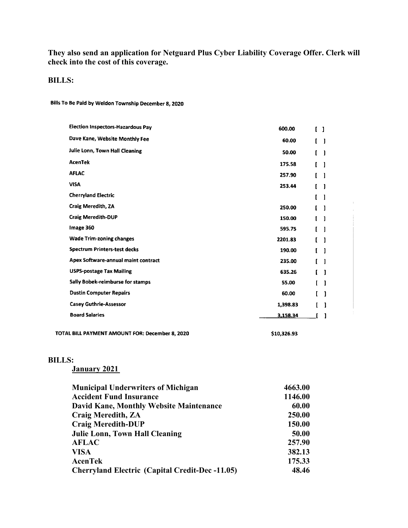# **They also send an application for Netguard Plus Cyber Liability Coverage Offer. Clerk will check into the cost of this coverage.**

#### **BILLS:**

Bills To Be Paid by Weldon Township December 8, 2020

| <b>Election Inspectors-Hazardous Pay</b> | 600.00   | $\begin{bmatrix} 1 \end{bmatrix}$ |    |
|------------------------------------------|----------|-----------------------------------|----|
| Dave Kane, Website Monthly Fee           | 60.00    | $\mathbf{r}$                      | -1 |
| Julie Lonn, Town Hall Cleaning           | 50.00    |                                   | -1 |
| <b>AcenTek</b>                           | 175.58   |                                   |    |
| <b>AFLAC</b>                             | 257.90   |                                   |    |
| <b>VISA</b>                              | 253.44   |                                   |    |
| <b>Cherryland Electric</b>               |          |                                   |    |
| <b>Craig Meredith, ZA</b>                | 250.00   |                                   |    |
| <b>Craig Meredith-DUP</b>                | 150.00   | ſ                                 |    |
| Image 360                                | 595.75   |                                   |    |
| <b>Wade Trim-zoning changes</b>          | 2201.83  |                                   |    |
| <b>Spectrum Printers-test decks</b>      | 190.00   | ſ                                 |    |
| Apex Software-annual maint contract      | 235.00   |                                   |    |
| <b>USPS-postage Tax Mailing</b>          | 635.26   | r                                 | 1  |
| Sally Bobek-reimburse for stamps         | 55.00    |                                   |    |
| <b>Dustin Computer Repairs</b>           | 60.00    |                                   | -1 |
| <b>Casey Guthrie-Assessor</b>            | 1,398.83 |                                   | 1  |
| <b>Board Salaries</b>                    | 3,158.34 |                                   |    |
|                                          |          |                                   |    |

TOTAL BILL PAYMENT AMOUNT FOR: December 8, 2020

\$10,326.93

## **BILLS:**

**January 2021**

| <b>Municipal Underwriters of Michigan</b>              | 4663.00 |
|--------------------------------------------------------|---------|
| <b>Accident Fund Insurance</b>                         | 1146.00 |
| <b>David Kane, Monthly Website Maintenance</b>         | 60.00   |
| <b>Craig Meredith, ZA</b>                              | 250.00  |
| <b>Craig Meredith-DUP</b>                              | 150.00  |
| <b>Julie Lonn, Town Hall Cleaning</b>                  | 50.00   |
| <b>AFLAC</b>                                           | 257.90  |
| <b>VISA</b>                                            | 382.13  |
| <b>AcenTek</b>                                         | 175.33  |
| <b>Cherryland Electric (Capital Credit-Dec -11.05)</b> | 48.46   |